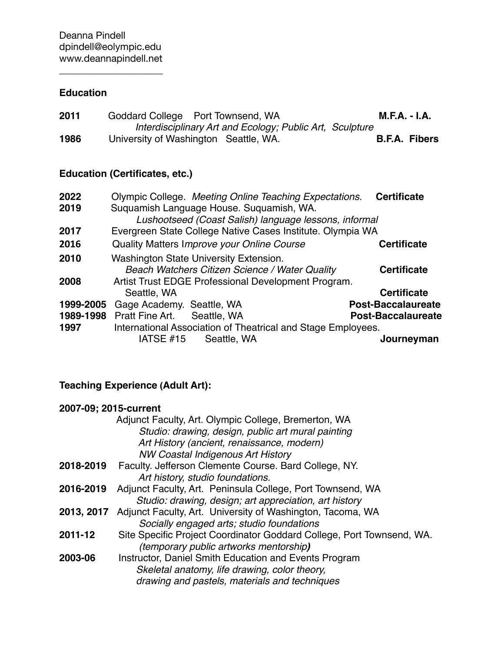$\overline{\phantom{a}}$  , where  $\overline{\phantom{a}}$ 

# **Education**

| 2011 | Goddard College Port Townsend, WA     |                                                          | <b>M.F.A. - I.A.</b> |                      |
|------|---------------------------------------|----------------------------------------------------------|----------------------|----------------------|
|      |                                       | Interdisciplinary Art and Ecology; Public Art, Sculpture |                      |                      |
| 1986 | University of Washington Seattle, WA. |                                                          |                      | <b>B.F.A. Fibers</b> |

# **Education (Certificates, etc.)**

| 2022      | Olympic College. Meeting Online Teaching Expectations.       | <b>Certificate</b>        |
|-----------|--------------------------------------------------------------|---------------------------|
| 2019      | Suquamish Language House. Suquamish, WA.                     |                           |
|           | Lushootseed (Coast Salish) language lessons, informal        |                           |
| 2017      | Evergreen State College Native Cases Institute. Olympia WA   |                           |
| 2016      | Quality Matters Improve your Online Course                   | <b>Certificate</b>        |
| 2010      | <b>Washington State University Extension.</b>                |                           |
|           | Beach Watchers Citizen Science / Water Quality               | <b>Certificate</b>        |
| 2008      | Artist Trust EDGE Professional Development Program.          |                           |
|           | Seattle, WA                                                  | <b>Certificate</b>        |
| 1999-2005 | Gage Academy. Seattle, WA                                    | <b>Post-Baccalaureate</b> |
| 1989-1998 | Pratt Fine Art.<br>Seattle, WA                               | <b>Post-Baccalaureate</b> |
| 1997      | International Association of Theatrical and Stage Employees. |                           |
|           | IATSE #15<br>Seattle, WA                                     | Journeyman                |

# **Teaching Experience (Adult Art):**

#### **2007-09; 2015-current**

|            | Adjunct Faculty, Art. Olympic College, Bremerton, WA                  |
|------------|-----------------------------------------------------------------------|
|            | Studio: drawing, design, public art mural painting                    |
|            | Art History (ancient, renaissance, modern)                            |
|            | <b>NW Coastal Indigenous Art History</b>                              |
| 2018-2019  | Faculty. Jefferson Clemente Course. Bard College, NY.                 |
|            | Art history, studio foundations.                                      |
| 2016-2019  | Adjunct Faculty, Art. Peninsula College, Port Townsend, WA            |
|            | Studio: drawing, design; art appreciation, art history                |
| 2013, 2017 | Adjunct Faculty, Art. University of Washington, Tacoma, WA            |
|            | Socially engaged arts; studio foundations                             |
| 2011-12    | Site Specific Project Coordinator Goddard College, Port Townsend, WA. |
|            | <i>(temporary public artworks mentorship)</i>                         |
| 2003-06    | Instructor, Daniel Smith Education and Events Program                 |
|            | Skeletal anatomy, life drawing, color theory,                         |
|            | drawing and pastels, materials and techniques                         |
|            |                                                                       |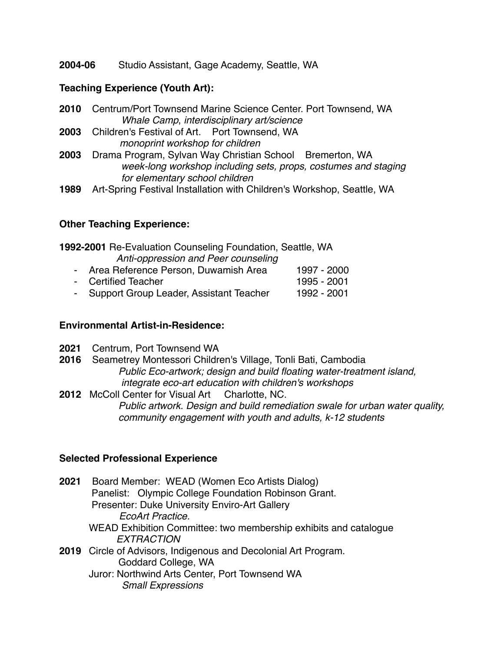**2004-06** Studio Assistant, Gage Academy, Seattle, WA

#### **Teaching Experience (Youth Art):**

- **2010**  Centrum/Port Townsend Marine Science Center. Port Townsend, WA *Whale Camp*, *interdisciplinary art/science*
- **2003** Children's Festival of Art. Port Townsend, WA  *monoprint workshop for children*
- **2003** Drama Program, Sylvan Way Christian School Bremerton, WA  *week-long workshop including sets, props, costumes and staging for elementary school children*
- **1989** Art-Spring Festival Installation with Children's Workshop, Seattle, WA

## **Other Teaching Experience:**

| 1992-2001 Re-Evaluation Counseling Foundation, Seattle, WA |                                           |             |  |
|------------------------------------------------------------|-------------------------------------------|-------------|--|
|                                                            | Anti-oppression and Peer counseling       |             |  |
|                                                            | - Area Reference Person, Duwamish Area    | 1997 - 2000 |  |
|                                                            | - Certified Teacher                       | 1995 - 2001 |  |
|                                                            | - Support Group Leader, Assistant Teacher | 1992 - 2001 |  |

#### **Environmental Artist-in-Residence:**

- **2021** Centrum, Port Townsend WA
- **2016** Seametrey Montessori Children's Village, Tonli Bati, Cambodia *Public Eco-artwork; design and build floating water-treatment island, integrate eco-art education with children's workshops*
- **2012** McColl Center for Visual Art Charlotte, NC. *Public artwork. Design and build remediation swale for urban water quality, community engagement with youth and adults, k-12 students*

## **Selected Professional Experience**

| 2021 | Board Member: WEAD (Women Eco Artists Dialog)                    |  |  |
|------|------------------------------------------------------------------|--|--|
|      | Panelist: Olympic College Foundation Robinson Grant.             |  |  |
|      | Presenter: Duke University Enviro-Art Gallery                    |  |  |
|      | EcoArt Practice.                                                 |  |  |
|      | WEAD Exhibition Committee: two membership exhibits and catalogue |  |  |
|      | <b>EXTRACTION</b>                                                |  |  |
|      | 2019 Circle of Advisors, Indigenous and Decolonial Art Program.  |  |  |
|      | Goddard College, WA                                              |  |  |
|      | Juror: Northwind Arts Center, Port Townsend WA                   |  |  |
|      | <b>Small Expressions</b>                                         |  |  |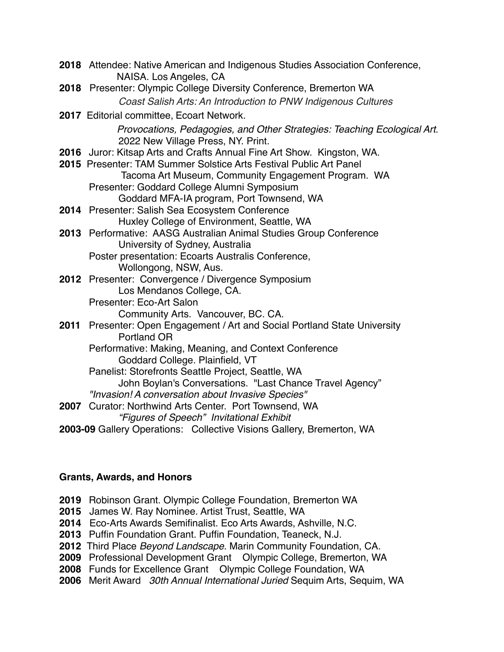| 2018 Attendee: Native American and Indigenous Studies Association Conference,<br>NAISA. Los Angeles, CA        |
|----------------------------------------------------------------------------------------------------------------|
| 2018 Presenter: Olympic College Diversity Conference, Bremerton WA                                             |
| Coast Salish Arts: An Introduction to PNW Indigenous Cultures                                                  |
| 2017 Editorial committee, Ecoart Network.                                                                      |
| Provocations, Pedagogies, and Other Strategies: Teaching Ecological Art.<br>2022 New Village Press, NY. Print. |
| 2016 Juror: Kitsap Arts and Crafts Annual Fine Art Show. Kingston, WA.                                         |
| 2015 Presenter: TAM Summer Solstice Arts Festival Public Art Panel                                             |
| Tacoma Art Museum, Community Engagement Program. WA                                                            |
| Presenter: Goddard College Alumni Symposium                                                                    |
| Goddard MFA-IA program, Port Townsend, WA                                                                      |
| 2014 Presenter: Salish Sea Ecosystem Conference                                                                |
| Huxley College of Environment, Seattle, WA                                                                     |
| 2013 Performative: AASG Australian Animal Studies Group Conference                                             |
| University of Sydney, Australia                                                                                |
| Poster presentation: Ecoarts Australis Conference,                                                             |
| Wollongong, NSW, Aus.                                                                                          |
| 2012 Presenter: Convergence / Divergence Symposium                                                             |
| Los Mendanos College, CA.                                                                                      |
| Presenter: Eco-Art Salon                                                                                       |
| Community Arts. Vancouver, BC. CA.                                                                             |
| 2011 Presenter: Open Engagement / Art and Social Portland State University<br><b>Portland OR</b>               |
|                                                                                                                |
| Performative: Making, Meaning, and Context Conference<br>Goddard College. Plainfield, VT                       |
| Panelist: Storefronts Seattle Project, Seattle, WA                                                             |
| John Boylan's Conversations. "Last Chance Travel Agency"                                                       |
| "Invasion! A conversation about Invasive Species"                                                              |
| 2007 Curator: Northwind Arts Center. Port Townsend, WA                                                         |
| "Figures of Speech" Invitational Exhibit                                                                       |
| 2003-09 Gallery Operations: Collective Visions Gallery, Bremerton, WA                                          |
|                                                                                                                |

## **Grants, Awards, and Honors**

**2019** Robinson Grant. Olympic College Foundation, Bremerton WA

- **2015**  James W. Ray Nominee. Artist Trust, Seattle, WA
- **2014**  Eco-Arts Awards Semifinalist. Eco Arts Awards, Ashville, N.C.
- **2013** Puffin Foundation Grant. Puffin Foundation, Teaneck, N.J.
- **2012** Third Place *Beyond Landscape.* Marin Community Foundation, CA.
- **2009** Professional Development Grant Olympic College, Bremerton, WA
- **2008** Funds for Excellence Grant Olympic College Foundation, WA
- **2006** Merit Award *30th Annual International Juried* Sequim Arts, Sequim, WA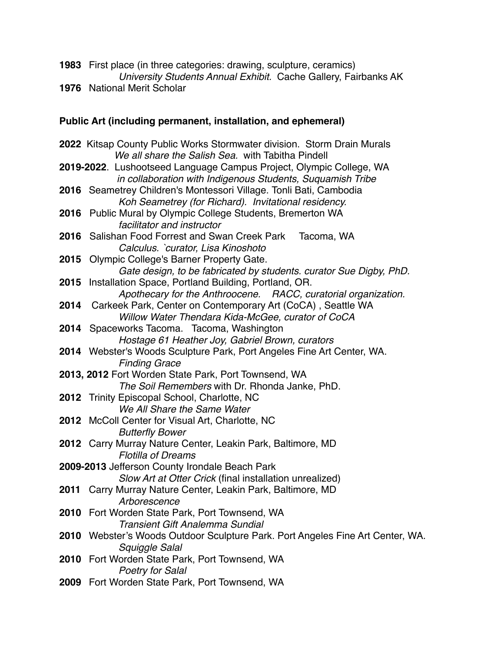**1983** First place (in three categories: drawing, sculpture, ceramics) *University Students Annual Exhibit.* Cache Gallery, Fairbanks AK **1976** National Merit Scholar

#### **Public Art (including permanent, installation, and ephemeral)**

**2022** Kitsap County Public Works Stormwater division. Storm Drain Murals *We all share the Salish Sea.* with Tabitha Pindell **2019-2022**. Lushootseed Language Campus Project, Olympic College, WA *in collaboration with Indigenous Students, Suquamish Tribe* **2016** Seametrey Children's Montessori Village. Tonli Bati, Cambodia *Koh Seametrey (for Richard). Invitational residency.* **2016** Public Mural by Olympic College Students, Bremerton WA *facilitator and instructor* **2016** Salishan Food Forrest and Swan Creek Park Tacoma, WA *Calculus. `curator, Lisa Kinoshoto* **2015** Olympic College's Barner Property Gate. *Gate design, to be fabricated by students. curator Sue Digby, PhD.* **2015** Installation Space, Portland Building, Portland, OR. *Apothecary for the Anthroocene.**RACC, curatorial organization.* **2014** Carkeek Park, Center on Contemporary Art (CoCA) , Seattle WA *Willow Water Thendara Kida-McGee, curator of CoCA* **2014** Spaceworks Tacoma.Tacoma, Washington *Hostage 61 Heather Joy, Gabriel Brown, curators* **2014** Webster's Woods Sculpture Park, Port Angeles Fine Art Center, WA. *Finding Grace* **2013, 2012** Fort Worden State Park, Port Townsend, WA *The Soil Remembers* with Dr. Rhonda Janke, PhD. **2012** Trinity Episcopal School, Charlotte, NC *We All Share the Same Water* **2012** McColl Center for Visual Art, Charlotte, NC *Butterfly Bower* **2012** Carry Murray Nature Center, Leakin Park, Baltimore, MD *Flotilla of Dreams* **2009-2013** Jefferson County Irondale Beach Park *Slow Art at Otter Crick* (final installation unrealized) **2011** Carry Murray Nature Center, Leakin Park, Baltimore, MD *Arborescence* **2010** Fort Worden State Park, Port Townsend, WA *Transient Gift Analemma Sundial* **2010** Webster's Woods Outdoor Sculpture Park. Port Angeles Fine Art Center, WA. *Squiggle Salal* **2010** Fort Worden State Park, Port Townsend, WA *Poetry for Salal* **2009** Fort Worden State Park, Port Townsend, WA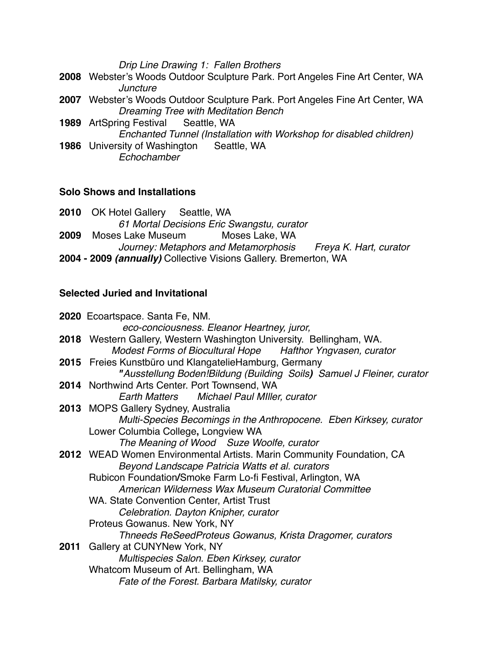*Drip Line Drawing 1: Fallen Brothers*

- **2008** Webster's Woods Outdoor Sculpture Park. Port Angeles Fine Art Center, WA *Juncture*
- **2007** Webster's Woods Outdoor Sculpture Park. Port Angeles Fine Art Center, WA *Dreaming Tree with Meditation Bench*
- **1989** ArtSpring Festival Seattle, WA
- *Enchanted Tunnel (Installation with Workshop for disabled children)* **1986** University of Washington Seattle, WA
	- *Echochamber*

#### **Solo Shows and Installations**

**2010** OK Hotel Gallery Seattle, WA *61 Mortal Decisions Eric Swangstu, curator* **2009**  Moses Lake Museum Moses Lake, WA *Journey: Metaphors and Metamorphosis Freya K. Hart, curator* **2004 - 2009** *(annually)* Collective Visions Gallery. Bremerton, WA

## **Selected Juried and Invitational**

**2020** Ecoartspace. Santa Fe, NM. *eco-conciousness. Eleanor Heartney, juror,* **2018** Western Gallery, Western Washington University. Bellingham, WA. *Modest Forms of Biocultural Hope**Hafthor Yngvasen, curator* **2015** Freies Kunstbüro und KlangatelieHamburg, Germany *"Ausstellung Boden!Bildung (Building Soils)**Samuel J Fleiner, curator* **2014** Northwind Arts Center. Port Townsend, WA *Earth Matters**Michael Paul MIller, curator* **2013** MOPS Gallery Sydney, Australia *Multi-Species Becomings in the Anthropocene. Eben Kirksey, curator* Lower Columbia College**,** Longview WA *The Meaning of Wood Suze Woolfe, curator* **2012** WEAD Women Environmental Artists. Marin Community Foundation, CA *Beyond Landscape Patricia Watts et al. curators* Rubicon Foundation**/**Smoke Farm Lo-fi Festival, Arlington, WA *American Wilderness Wax Museum Curatorial Committee* WA. State Convention Center, Artist Trust *Celebration. Dayton Knipher, curator* Proteus Gowanus. New York, NY *Thneeds ReSeedProteus Gowanus, Krista Dragomer, curators* **2011** Gallery at CUNYNew York, NY *Multispecies Salon. Eben Kirksey, curator* Whatcom Museum of Art. Bellingham, WA *Fate of the Forest. Barbara Matilsky, curator*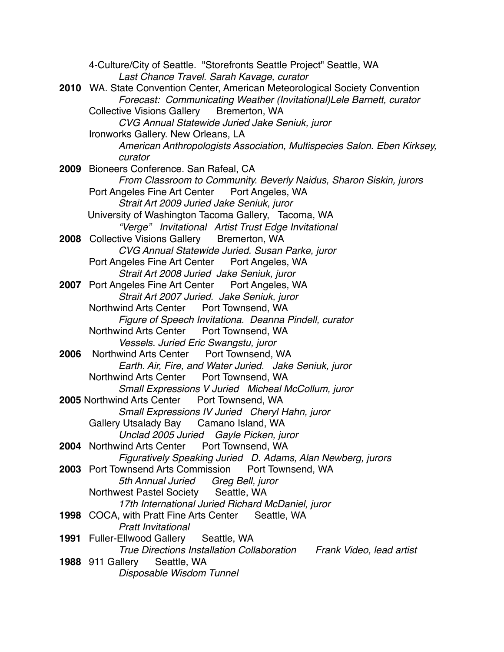4-Culture/City of Seattle. "Storefronts Seattle Project" Seattle, WA *Last Chance Travel. Sarah Kavage, curator* **2010** WA. State Convention Center, American Meteorological Society Convention *Forecast: Communicating Weather (Invitational)Lele Barnett, curator* Collective Visions Gallery Bremerton, WA *CVG Annual Statewide Juried Jake Seniuk, juror* Ironworks Gallery. New Orleans, LA *American Anthropologists Association, Multispecies Salon*. *Eben Kirksey, curator* **2009** Bioneers Conference. San Rafeal, CA *From Classroom to Community. Beverly Naidus, Sharon Siskin, jurors* Port Angeles Fine Art Center Port Angeles, WA *Strait Art 2009 Juried Jake Seniuk, juror* University of Washington Tacoma Gallery, Tacoma, WA *"Verge" Invitational Artist Trust Edge Invitational* **2008** Collective Visions Gallery Bremerton, WA *CVG Annual Statewide Juried. Susan Parke, juror* Port Angeles Fine Art Center Port Angeles, WA *Strait Art 2008 Juried Jake Seniuk, juror* **2007** Port Angeles Fine Art Center Port Angeles, WA *Strait Art 2007 Juried. Jake Seniuk, juror* Northwind Arts Center Port Townsend, WA *Figure of Speech Invitationa. Deanna Pindell, curator* Northwind Arts Center Port Townsend, WA *Vessels. Juried Eric Swangstu, juror* **2006** Northwind Arts Center Port Townsend, WA *Earth. Air, Fire, and Water Juried. Jake Seniuk, juror* Northwind Arts Center Port Townsend, WA *Small Expressions V Juried Micheal McCollum, juror* **2005** Northwind Arts Center Port Townsend, WA *Small Expressions IV Juried Cheryl Hahn, juror* Gallery Utsalady Bay Camano Island, WA *Unclad 2005 Juried Gayle Picken, juror* **2004** Northwind Arts Center Port Townsend, WA *Figuratively Speaking Juried D. Adams, Alan Newberg, jurors* **2003** Port Townsend Arts Commission Port Townsend, WA *5th Annual Juried Greg Bell, juror* Northwest Pastel Society Seattle, WA *17th International Juried Richard McDaniel, juror* **1998** COCA, with Pratt Fine Arts Center Seattle, WA *Pratt Invitational* **1991** Fuller-Ellwood Gallery Seattle, WA *True Directions Installation Collaboration Frank Video, lead artist* **1988** 911 Gallery Seattle, WA *Disposable Wisdom Tunnel*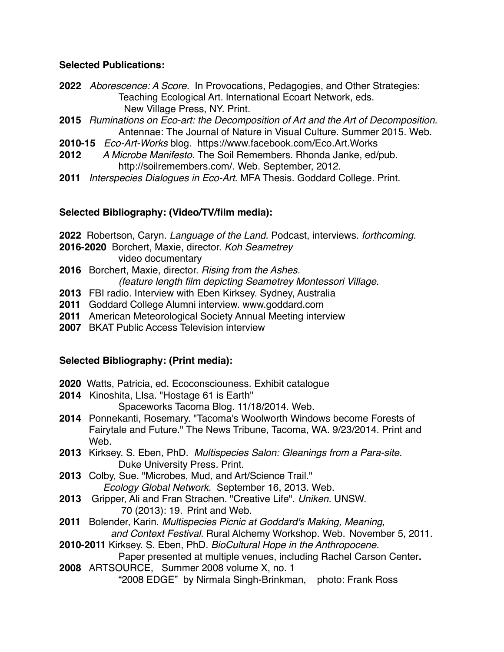#### **Selected Publications:**

- **2022** *Aborescence: A Score.* In Provocations, Pedagogies, and Other Strategies: Teaching Ecological Art. lnternational Ecoart Network, eds. New Village Press, NY. Print.
- **2015** *Ruminations on Eco-art: the Decomposition of Art and the Art of Decomposition.* Antennae: The Journal of Nature in Visual Culture. Summer 2015. Web.
- **2010-15** *Eco-Art-Works* blog. https://www.facebook.com/Eco.Art.Works
- **2012** *A Microbe Manifesto.* The Soil Remembers. Rhonda Janke, ed/pub. http://soilremembers.com/. Web. September, 2012.
- **2011** *Interspecies Dialogues in Eco-Art*. MFA Thesis. Goddard College. Print.

## **Selected Bibliography: (Video/TV/film media):**

**2022** Robertson, Caryn. *Language of the Land.* Podcast, interviews. *forthcoming.*

**2016-2020** Borchert, Maxie, director. *Koh Seametrey*

video documentary

- **2016** Borchert, Maxie, director. *Rising from the Ashes. (feature length film depicting Seametrey Montessori Village.*
- **2013** FBI radio. Interview with Eben Kirksey. Sydney, Australia
- **2011** Goddard College Alumni interview. www.goddard.com
- **2011** American Meteorological Society Annual Meeting interview
- **2007** BKAT Public Access Television interview

## **Selected Bibliography: (Print media):**

- **2020** Watts, Patricia, ed. Ecoconsciouness. Exhibit catalogue
- **2014** Kinoshita, LIsa. "Hostage 61 is Earth" Spaceworks Tacoma Blog. 11/18/2014. Web.
- **2014** Ponnekanti, Rosemary. "Tacoma's Woolworth Windows become Forests of Fairytale and Future." The News Tribune, Tacoma, WA. 9/23/2014. Print and **Web**.
- **2013** Kirksey. S. Eben, PhD. *Multispecies Salon: Gleanings from a Para-site.* Duke University Press*.* Print.
- **2013** Colby, Sue. "Microbes, Mud, and Art/Science Trail." *Ecology Global Network.* September 16, 2013. Web.
- **2013** Gripper, Ali and Fran Strachen. "Creative Life". *Uniken.* UNSW. 70 (2013): 19.  Print and Web.
- **2011** Bolender, Karin. *Multispecies Picnic at Goddard's Making, Meaning, and Context Festival.* Rural Alchemy Workshop. Web. November 5, 2011.
- **2010-2011** Kirksey. S. Eben, PhD. *BioCultural Hope in the Anthropocene.*
	- Paper presented at multiple venues, including Rachel Carson Center**.**
- **2008** ARTSOURCE, Summer 2008 volume X, no. 1 "2008 EDGE" by Nirmala Singh-Brinkman, photo: Frank Ross